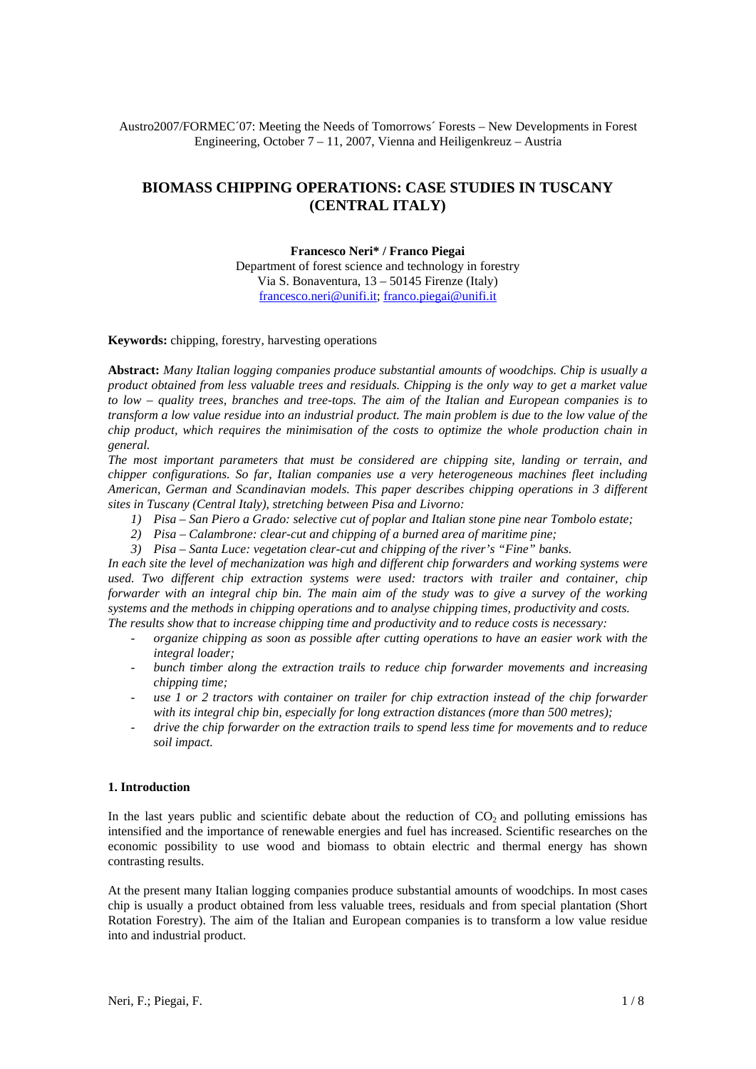Austro2007/FORMEC´07: Meeting the Needs of Tomorrows´ Forests – New Developments in Forest Engineering, October 7 – 11, 2007, Vienna and Heiligenkreuz – Austria

# **BIOMASS CHIPPING OPERATIONS: CASE STUDIES IN TUSCANY (CENTRAL ITALY)**

#### **Francesco Neri\* / Franco Piegai**

Department of forest science and technology in forestry Via S. Bonaventura, 13 – 50145 Firenze (Italy) francesco.neri@unifi.it; franco.piegai@unifi.it

**Keywords:** chipping, forestry, harvesting operations

**Abstract:** *Many Italian logging companies produce substantial amounts of woodchips. Chip is usually a product obtained from less valuable trees and residuals. Chipping is the only way to get a market value to low – quality trees, branches and tree-tops. The aim of the Italian and European companies is to transform a low value residue into an industrial product. The main problem is due to the low value of the chip product, which requires the minimisation of the costs to optimize the whole production chain in general.* 

*The most important parameters that must be considered are chipping site, landing or terrain, and chipper configurations. So far, Italian companies use a very heterogeneous machines fleet including American, German and Scandinavian models. This paper describes chipping operations in 3 different sites in Tuscany (Central Italy), stretching between Pisa and Livorno:* 

- *1) Pisa San Piero a Grado: selective cut of poplar and Italian stone pine near Tombolo estate;*
- *2) Pisa Calambrone: clear-cut and chipping of a burned area of maritime pine;*
- *3) Pisa Santa Luce: vegetation clear-cut and chipping of the river's "Fine" banks.*

*In each site the level of mechanization was high and different chip forwarders and working systems were used. Two different chip extraction systems were used: tractors with trailer and container, chip forwarder with an integral chip bin. The main aim of the study was to give a survey of the working systems and the methods in chipping operations and to analyse chipping times, productivity and costs. The results show that to increase chipping time and productivity and to reduce costs is necessary:* 

- *organize chipping as soon as possible after cutting operations to have an easier work with the* 

- *integral loader;*
- *bunch timber along the extraction trails to reduce chip forwarder movements and increasing chipping time;*
- *use 1 or 2 tractors with container on trailer for chip extraction instead of the chip forwarder with its integral chip bin, especially for long extraction distances (more than 500 metres);*
- *drive the chip forwarder on the extraction trails to spend less time for movements and to reduce soil impact.*

## **1. Introduction**

In the last years public and scientific debate about the reduction of  $CO<sub>2</sub>$  and polluting emissions has intensified and the importance of renewable energies and fuel has increased. Scientific researches on the economic possibility to use wood and biomass to obtain electric and thermal energy has shown contrasting results.

At the present many Italian logging companies produce substantial amounts of woodchips. In most cases chip is usually a product obtained from less valuable trees, residuals and from special plantation (Short Rotation Forestry). The aim of the Italian and European companies is to transform a low value residue into and industrial product.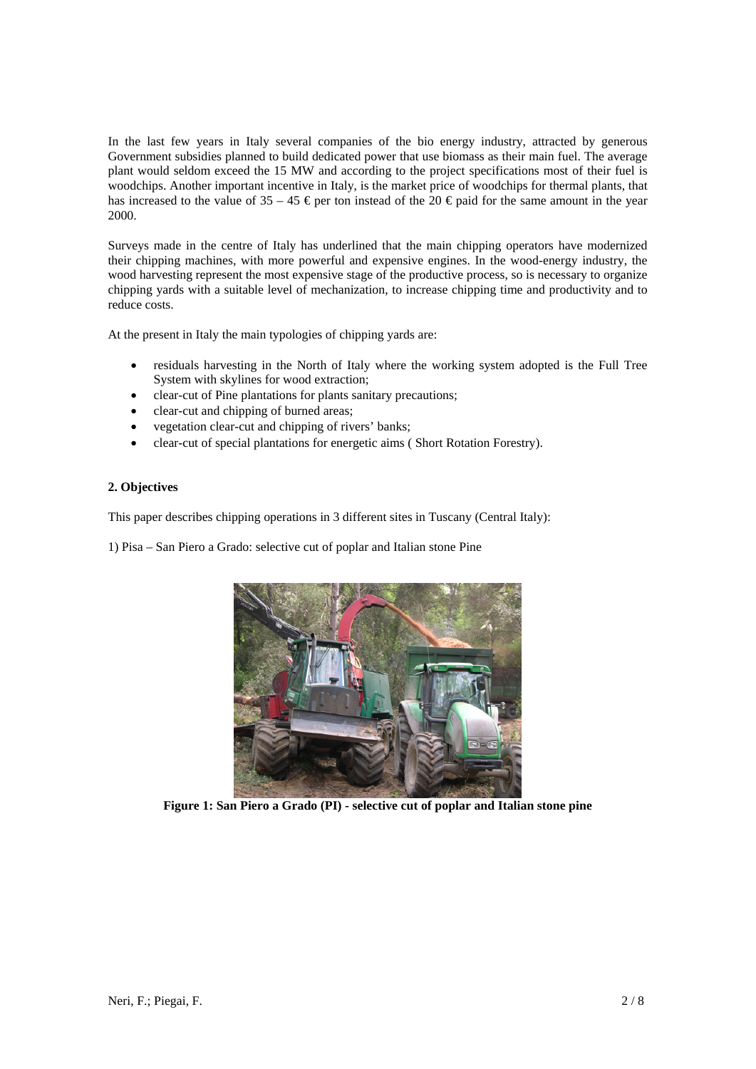In the last few years in Italy several companies of the bio energy industry, attracted by generous Government subsidies planned to build dedicated power that use biomass as their main fuel. The average plant would seldom exceed the 15 MW and according to the project specifications most of their fuel is woodchips. Another important incentive in Italy, is the market price of woodchips for thermal plants, that has increased to the value of  $35 - 45$  € per ton instead of the 20 € paid for the same amount in the year 2000.

Surveys made in the centre of Italy has underlined that the main chipping operators have modernized their chipping machines, with more powerful and expensive engines. In the wood-energy industry, the wood harvesting represent the most expensive stage of the productive process, so is necessary to organize chipping yards with a suitable level of mechanization, to increase chipping time and productivity and to reduce costs.

At the present in Italy the main typologies of chipping yards are:

- residuals harvesting in the North of Italy where the working system adopted is the Full Tree System with skylines for wood extraction;
- clear-cut of Pine plantations for plants sanitary precautions;
- clear-cut and chipping of burned areas;
- vegetation clear-cut and chipping of rivers' banks;
- clear-cut of special plantations for energetic aims (Short Rotation Forestry).

### **2. Objectives**

This paper describes chipping operations in 3 different sites in Tuscany (Central Italy):

1) Pisa – San Piero a Grado: selective cut of poplar and Italian stone Pine



**Figure 1: San Piero a Grado (PI) - selective cut of poplar and Italian stone pine**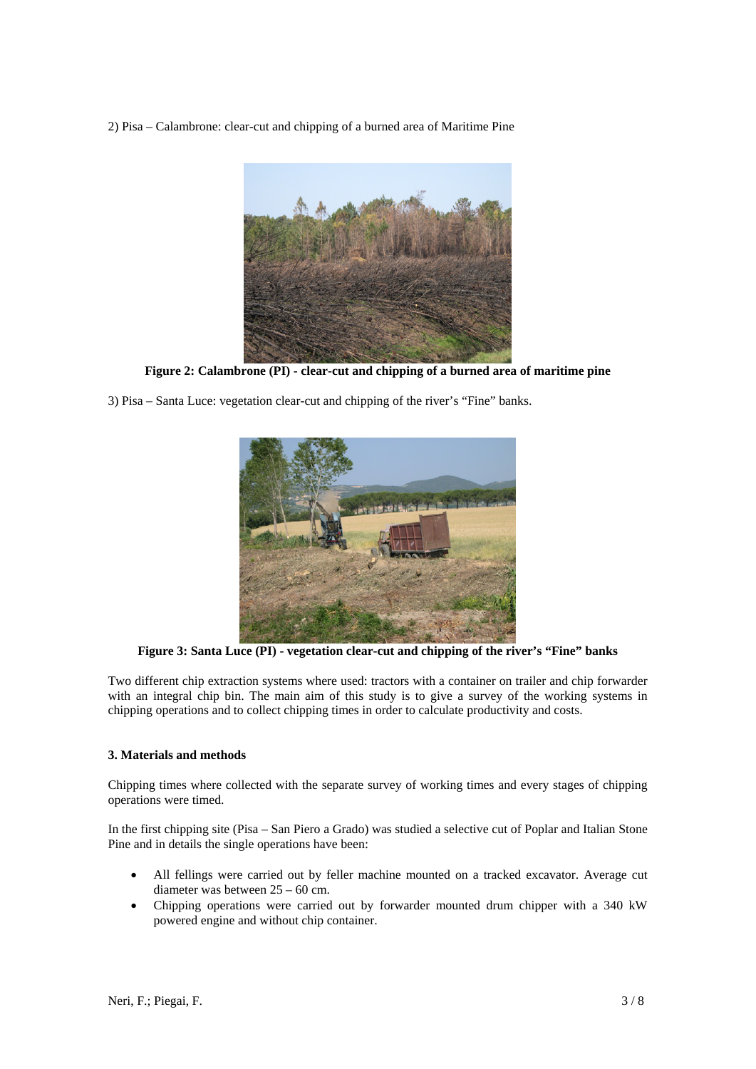2) Pisa – Calambrone: clear-cut and chipping of a burned area of Maritime Pine



**Figure 2: Calambrone (PI) - clear-cut and chipping of a burned area of maritime pine** 

3) Pisa – Santa Luce: vegetation clear-cut and chipping of the river's "Fine" banks.



**Figure 3: Santa Luce (PI) - vegetation clear-cut and chipping of the river's "Fine" banks** 

Two different chip extraction systems where used: tractors with a container on trailer and chip forwarder with an integral chip bin. The main aim of this study is to give a survey of the working systems in chipping operations and to collect chipping times in order to calculate productivity and costs.

## **3. Materials and methods**

Chipping times where collected with the separate survey of working times and every stages of chipping operations were timed.

In the first chipping site (Pisa – San Piero a Grado) was studied a selective cut of Poplar and Italian Stone Pine and in details the single operations have been:

- All fellings were carried out by feller machine mounted on a tracked excavator. Average cut diameter was between 25 – 60 cm.
- Chipping operations were carried out by forwarder mounted drum chipper with a 340 kW powered engine and without chip container.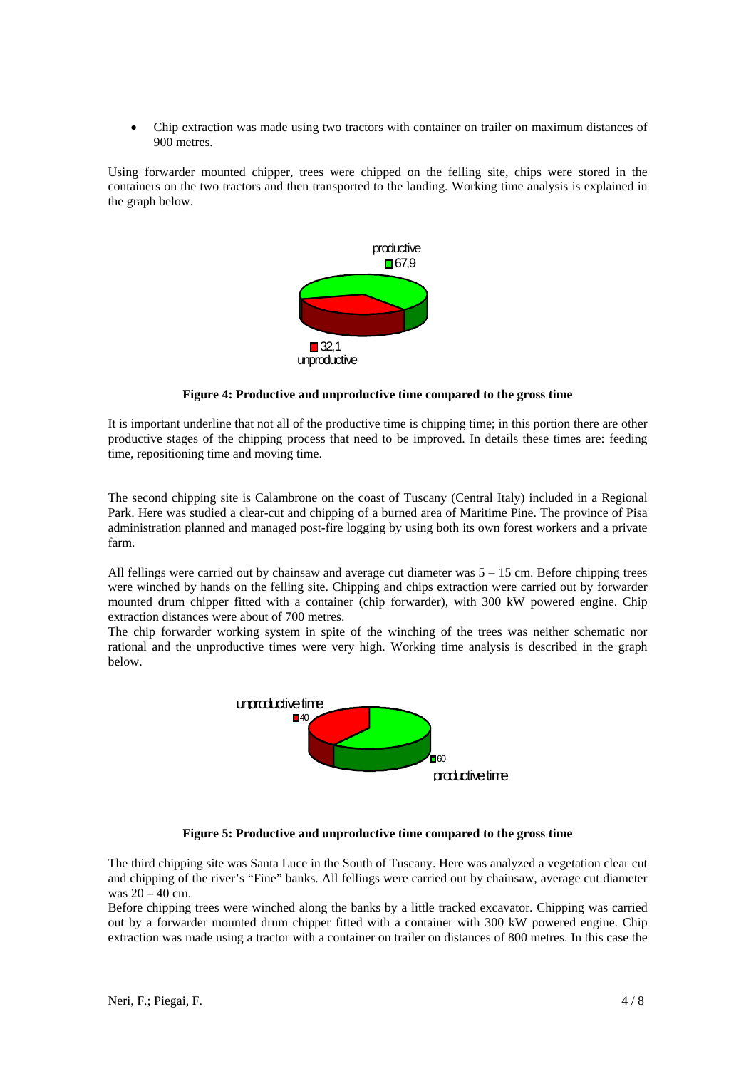• Chip extraction was made using two tractors with container on trailer on maximum distances of 900 metres.

Using forwarder mounted chipper, trees were chipped on the felling site, chips were stored in the containers on the two tractors and then transported to the landing. Working time analysis is explained in the graph below.



#### **Figure 4: Productive and unproductive time compared to the gross time**

It is important underline that not all of the productive time is chipping time; in this portion there are other productive stages of the chipping process that need to be improved. In details these times are: feeding time, repositioning time and moving time.

The second chipping site is Calambrone on the coast of Tuscany (Central Italy) included in a Regional Park. Here was studied a clear-cut and chipping of a burned area of Maritime Pine. The province of Pisa administration planned and managed post-fire logging by using both its own forest workers and a private farm.

All fellings were carried out by chainsaw and average cut diameter was 5 – 15 cm. Before chipping trees were winched by hands on the felling site. Chipping and chips extraction were carried out by forwarder mounted drum chipper fitted with a container (chip forwarder), with 300 kW powered engine. Chip extraction distances were about of 700 metres.

The chip forwarder working system in spite of the winching of the trees was neither schematic nor rational and the unproductive times were very high. Working time analysis is described in the graph below.



## **Figure 5: Productive and unproductive time compared to the gross time**

The third chipping site was Santa Luce in the South of Tuscany. Here was analyzed a vegetation clear cut and chipping of the river's "Fine" banks. All fellings were carried out by chainsaw, average cut diameter was 20 – 40 cm.

Before chipping trees were winched along the banks by a little tracked excavator. Chipping was carried out by a forwarder mounted drum chipper fitted with a container with 300 kW powered engine. Chip extraction was made using a tractor with a container on trailer on distances of 800 metres. In this case the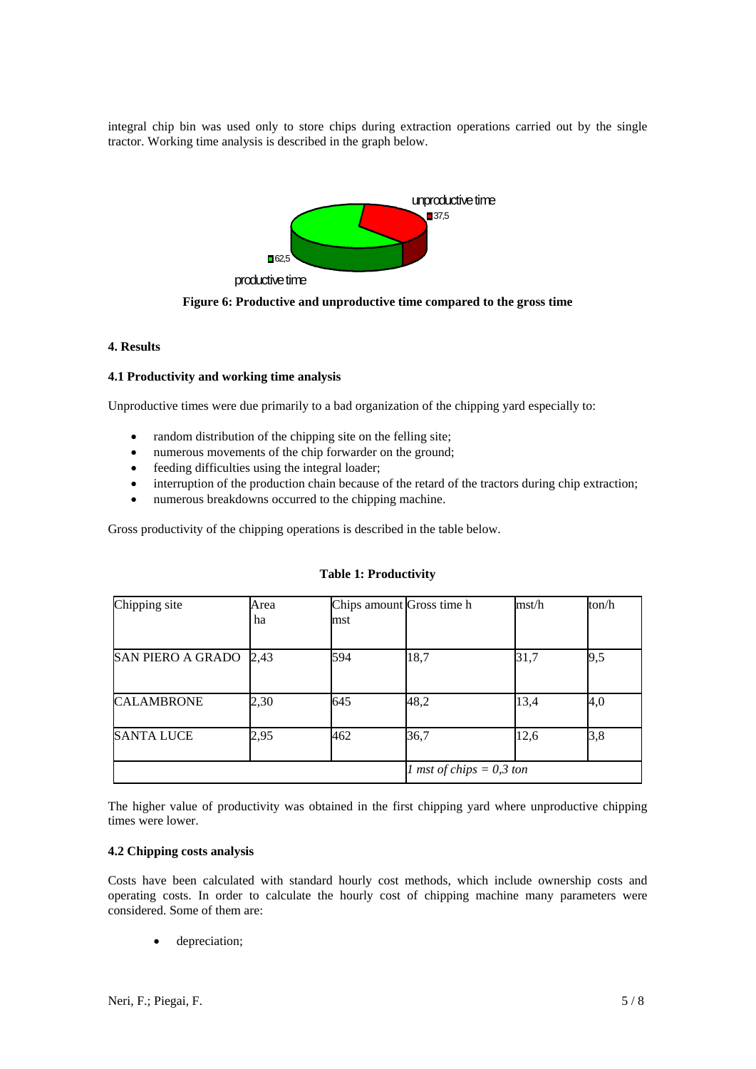integral chip bin was used only to store chips during extraction operations carried out by the single tractor. Working time analysis is described in the graph below.



**Figure 6: Productive and unproductive time compared to the gross time** 

# **4. Results**

#### **4.1 Productivity and working time analysis**

Unproductive times were due primarily to a bad organization of the chipping yard especially to:

- random distribution of the chipping site on the felling site;
- numerous movements of the chip forwarder on the ground;
- feeding difficulties using the integral loader;
- interruption of the production chain because of the retard of the tractors during chip extraction;
- numerous breakdowns occurred to the chipping machine.

Gross productivity of the chipping operations is described in the table below.

| Chipping site            | Area<br>ha | mst | Chips amount Gross time h         | mst/h | ton/h |
|--------------------------|------------|-----|-----------------------------------|-------|-------|
| <b>SAN PIERO A GRADO</b> | 2,43       | 594 | 18,7                              | 31,7  | 9,5   |
| <b>CALAMBRONE</b>        | 2,30       | 645 | 48,2                              | 13,4  | 4,0   |
| <b>SANTA LUCE</b>        | 2,95       | 462 | 36,7                              | 12,6  | 3,8   |
|                          |            |     | <i>l</i> mst of chips = $0,3$ ton |       |       |

#### **Table 1: Productivity**

The higher value of productivity was obtained in the first chipping yard where unproductive chipping times were lower.

#### **4.2 Chipping costs analysis**

Costs have been calculated with standard hourly cost methods, which include ownership costs and operating costs. In order to calculate the hourly cost of chipping machine many parameters were considered. Some of them are:

depreciation;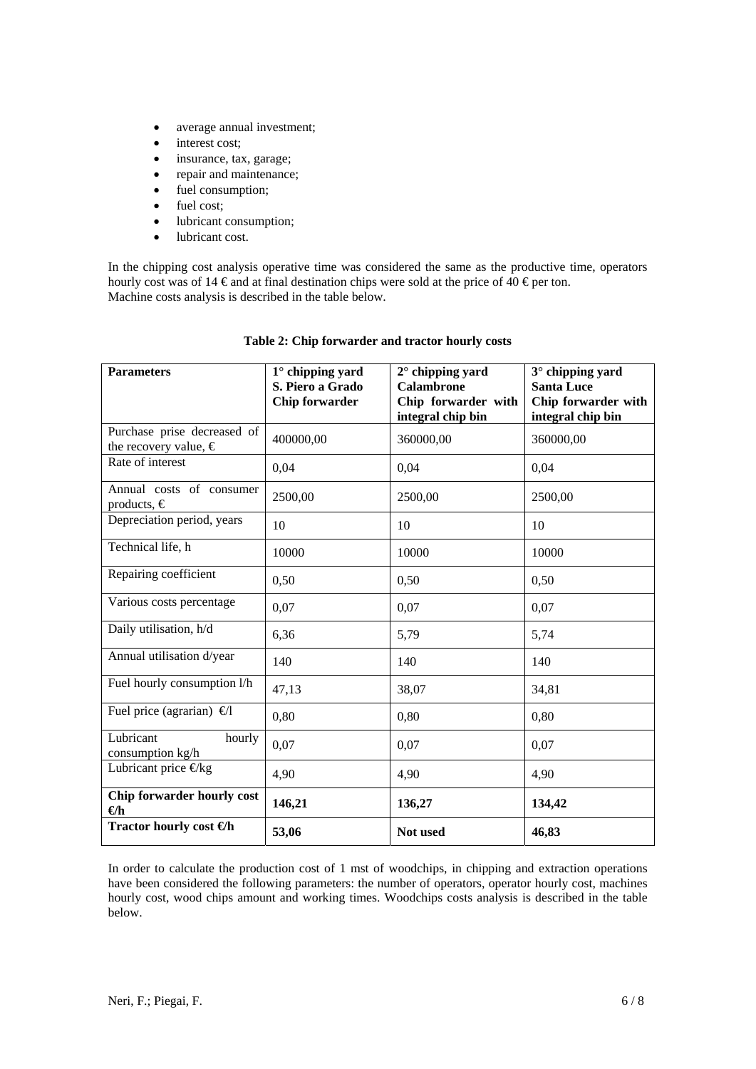- average annual investment;
- interest cost;
- insurance, tax, garage;
- repair and maintenance;
- fuel consumption;
- fuel cost;
- lubricant consumption;
- lubricant cost.

In the chipping cost analysis operative time was considered the same as the productive time, operators hourly cost was of 14  $\epsilon$  and at final destination chips were sold at the price of 40  $\epsilon$  per ton. Machine costs analysis is described in the table below.

| <b>Parameters</b>                                             | $1^\circ$ chipping yard<br>S. Piero a Grado<br><b>Chip forwarder</b> | $2^\circ$ chipping yard<br>Calambrone<br>Chip forwarder with<br>integral chip bin | 3° chipping yard<br><b>Santa Luce</b><br>Chip forwarder with<br>integral chip bin |
|---------------------------------------------------------------|----------------------------------------------------------------------|-----------------------------------------------------------------------------------|-----------------------------------------------------------------------------------|
| Purchase prise decreased of<br>the recovery value, $\epsilon$ | 400000,00                                                            | 360000,00                                                                         | 360000,00                                                                         |
| Rate of interest                                              | 0,04                                                                 | 0,04                                                                              | 0,04                                                                              |
| Annual costs of consumer<br>products, $\in$                   | 2500,00                                                              | 2500,00                                                                           | 2500,00                                                                           |
| Depreciation period, years                                    | 10                                                                   | 10                                                                                | 10                                                                                |
| Technical life, h                                             | 10000                                                                | 10000                                                                             | 10000                                                                             |
| Repairing coefficient                                         | 0,50                                                                 | 0,50                                                                              | 0,50                                                                              |
| Various costs percentage                                      | 0,07                                                                 | 0,07                                                                              | 0,07                                                                              |
| Daily utilisation, h/d                                        | 6,36                                                                 | 5,79                                                                              | 5,74                                                                              |
| Annual utilisation d/year                                     | 140                                                                  | 140                                                                               | 140                                                                               |
| Fuel hourly consumption l/h                                   | 47,13                                                                | 38,07                                                                             | 34,81                                                                             |
| Fuel price (agrarian) $\Theta$                                | 0,80                                                                 | 0,80                                                                              | 0.80                                                                              |
| Lubricant<br>hourly<br>consumption kg/h                       | 0,07                                                                 | 0,07                                                                              | 0,07                                                                              |
| Lubricant price $\Theta$ kg                                   | 4,90                                                                 | 4,90                                                                              | 4,90                                                                              |
| Chip forwarder hourly cost<br>$\Theta$ h                      | 146,21                                                               | 136,27                                                                            | 134,42                                                                            |
| Tractor hourly cost $\Theta$ h                                | 53,06                                                                | Not used                                                                          | 46,83                                                                             |

# **Table 2: Chip forwarder and tractor hourly costs**

In order to calculate the production cost of 1 mst of woodchips, in chipping and extraction operations have been considered the following parameters: the number of operators, operator hourly cost, machines hourly cost, wood chips amount and working times. Woodchips costs analysis is described in the table below.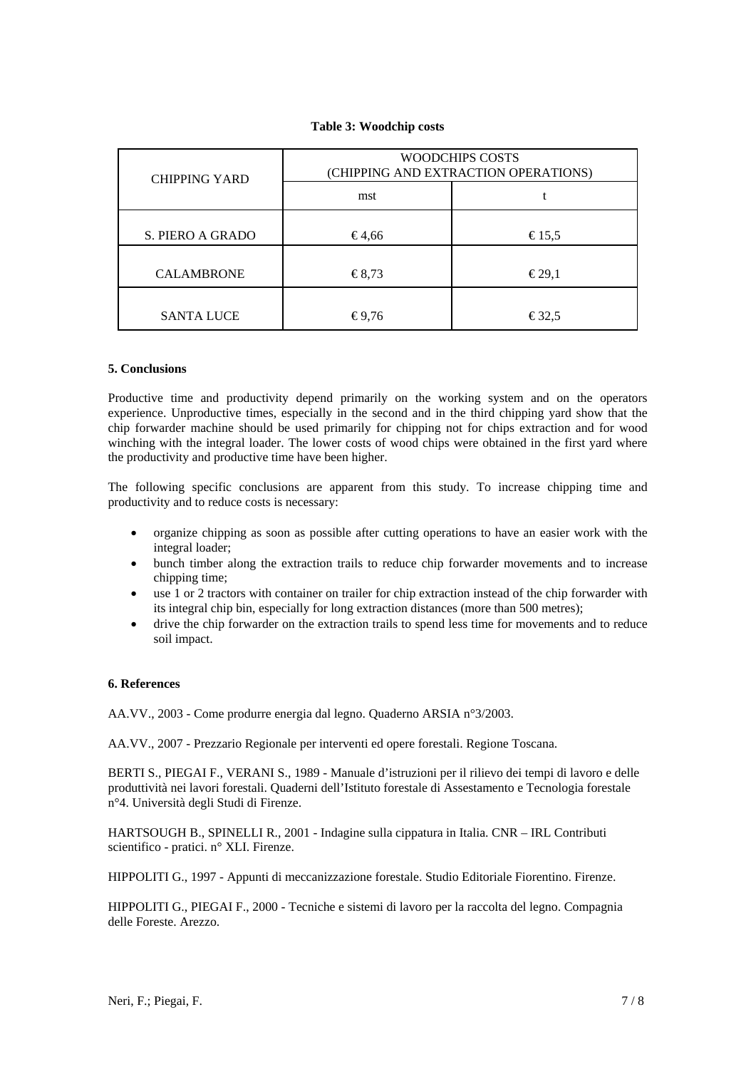# **Table 3: Woodchip costs**

| <b>CHIPPING YARD</b> | <b>WOODCHIPS COSTS</b><br>(CHIPPING AND EXTRACTION OPERATIONS) |                            |  |  |
|----------------------|----------------------------------------------------------------|----------------------------|--|--|
|                      | mst                                                            |                            |  |  |
| S. PIERO A GRADO     | €4,66                                                          | €15.5                      |  |  |
| <b>CALAMBRONE</b>    | €8,73                                                          | $\epsilon$ 29,1            |  |  |
| <b>SANTA LUCE</b>    | $\textcolor{blue}{\epsilon}$ 9.76                              | $\text{\textsterling}32.5$ |  |  |

# **5. Conclusions**

Productive time and productivity depend primarily on the working system and on the operators experience. Unproductive times, especially in the second and in the third chipping yard show that the chip forwarder machine should be used primarily for chipping not for chips extraction and for wood winching with the integral loader. The lower costs of wood chips were obtained in the first yard where the productivity and productive time have been higher.

The following specific conclusions are apparent from this study. To increase chipping time and productivity and to reduce costs is necessary:

- organize chipping as soon as possible after cutting operations to have an easier work with the integral loader;
- bunch timber along the extraction trails to reduce chip forwarder movements and to increase chipping time;
- use 1 or 2 tractors with container on trailer for chip extraction instead of the chip forwarder with its integral chip bin, especially for long extraction distances (more than 500 metres);
- drive the chip forwarder on the extraction trails to spend less time for movements and to reduce soil impact.

## **6. References**

AA.VV., 2003 - Come produrre energia dal legno. Quaderno ARSIA n°3/2003.

AA.VV., 2007 - Prezzario Regionale per interventi ed opere forestali. Regione Toscana.

BERTI S., PIEGAI F., VERANI S., 1989 - Manuale d'istruzioni per il rilievo dei tempi di lavoro e delle produttività nei lavori forestali. Quaderni dell'Istituto forestale di Assestamento e Tecnologia forestale n°4. Università degli Studi di Firenze.

HARTSOUGH B., SPINELLI R., 2001 - Indagine sulla cippatura in Italia. CNR – IRL Contributi scientifico - pratici. n° XLI. Firenze.

HIPPOLITI G., 1997 - Appunti di meccanizzazione forestale. Studio Editoriale Fiorentino. Firenze.

HIPPOLITI G., PIEGAI F., 2000 - Tecniche e sistemi di lavoro per la raccolta del legno. Compagnia delle Foreste. Arezzo.